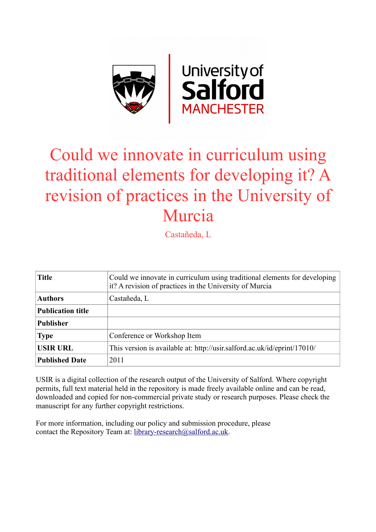

# Could we innovate in curriculum using traditional elements for developing it? A revision of practices in the University of Murcia

Castañeda, L

| <b>Title</b>             | Could we innovate in curriculum using traditional elements for developing<br>it? A revision of practices in the University of Murcia |
|--------------------------|--------------------------------------------------------------------------------------------------------------------------------------|
| <b>Authors</b>           | Castañeda, L                                                                                                                         |
| <b>Publication title</b> |                                                                                                                                      |
| <b>Publisher</b>         |                                                                                                                                      |
| <b>Type</b>              | Conference or Workshop Item                                                                                                          |
| <b>USIR URL</b>          | This version is available at: http://usir.salford.ac.uk/id/eprint/17010/                                                             |
| <b>Published Date</b>    | 2011                                                                                                                                 |

USIR is a digital collection of the research output of the University of Salford. Where copyright permits, full text material held in the repository is made freely available online and can be read, downloaded and copied for non-commercial private study or research purposes. Please check the manuscript for any further copyright restrictions.

For more information, including our policy and submission procedure, please contact the Repository Team at: [library-research@salford.ac.uk.](mailto:library-research@salford.ac.uk)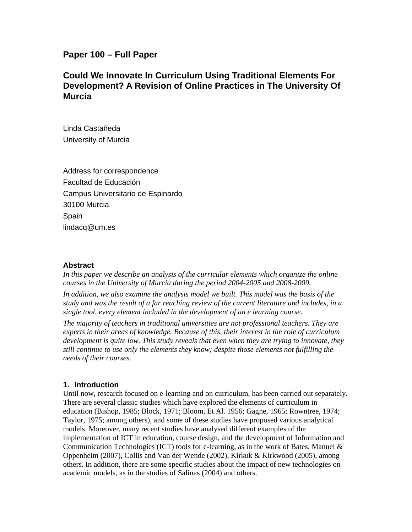## **Paper 100 – Full Paper**

## **Could We Innovate In Curriculum Using Traditional Elements For Development? A Revision of Online Practices in The University Of Murcia**

Linda Castañeda University of Murcia

Address for correspondence Facultad de Educación Campus Universitario de Espinardo 30100 Murcia Spain lindacq@um.es

#### **Abstract**

In this paper we describe an analysis of the curricular elements which organize the online *courses in the University of Murcia during the period 2004-2005 and 2008-2009.* 

*In addition, we also examine the analysis model we built. This model was the basis of the study and was the result of a far reaching review of the current literature and includes, in a single tool, every element included in the development of an e learning course.* 

*The majority of teachers in traditional universities are not professional teachers. They are experts in their areas of knowledge. Because of this, their interest in the role of curriculum development is quite low. This study reveals that even when they are trying to innovate, they still continue to use only the elements they know; despite those elements not fulfilling the needs of their courses.* 

#### **1. Introduction**

Until now, research focused on e-learning and on curriculum, has been carried out separately. There are several classic studies which have explored the elements of curriculum in education (Bishop, 1985; Block, 1971; Bloom, Et Al. 1956; Gagne, 1965; Rowntree, 1974; Taylor, 1975; among others), and some of these studies have proposed various analytical models. Moreover, many recent studies have analysed different examples of the implementation of ICT in education, course design, and the development of Information and Communication Technologies (ICT) tools for e-learning, as in the work of Bates, Manuel  $\&$ Oppenheim (2007), Collis and Van der Wende (2002), Kirkuk & Kirkwood (2005), among others. In addition, there are some specific studies about the impact of new technologies on academic models, as in the studies of Salinas (2004) and others.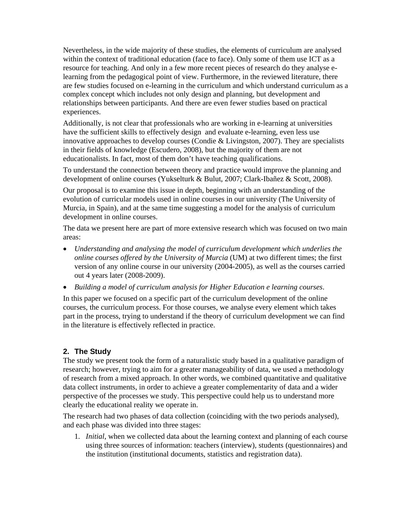Nevertheless, in the wide majority of these studies, the elements of curriculum are analysed within the context of traditional education (face to face). Only some of them use ICT as a resource for teaching. And only in a few more recent pieces of research do they analyse elearning from the pedagogical point of view. Furthermore, in the reviewed literature, there are few studies focused on e-learning in the curriculum and which understand curriculum as a complex concept which includes not only design and planning, but development and relationships between participants. And there are even fewer studies based on practical experiences.

Additionally, is not clear that professionals who are working in e-learning at universities have the sufficient skills to effectively design and evaluate e-learning, even less use innovative approaches to develop courses (Condie  $& Livingston, 2007$ ). They are specialists in their fields of knowledge (Escudero, 2008), but the majority of them are not educationalists. In fact, most of them don't have teaching qualifications.

To understand the connection between theory and practice would improve the planning and development of online courses (Yukselturk & Bulut, 2007; Clark-Ibañez & Scott, 2008).

Our proposal is to examine this issue in depth, beginning with an understanding of the evolution of curricular models used in online courses in our university (The University of Murcia, in Spain), and at the same time suggesting a model for the analysis of curriculum development in online courses.

The data we present here are part of more extensive research which was focused on two main areas:

- *Understanding and analysing the model of curriculum development which underlies the online courses offered by the University of Murcia* (UM) at two different times; the first version of any online course in our university (2004-2005), as well as the courses carried out 4 years later (2008-2009).
- *Building a model of curriculum analysis for Higher Education e learning courses*.

In this paper we focused on a specific part of the curriculum development of the online courses, the curriculum process. For those courses, we analyse every element which takes part in the process, trying to understand if the theory of curriculum development we can find in the literature is effectively reflected in practice.

### **2. The Study**

The study we present took the form of a naturalistic study based in a qualitative paradigm of research; however, trying to aim for a greater manageability of data, we used a methodology of research from a mixed approach. In other words, we combined quantitative and qualitative data collect instruments, in order to achieve a greater complementarity of data and a wider perspective of the processes we study. This perspective could help us to understand more clearly the educational reality we operate in.

The research had two phases of data collection (coinciding with the two periods analysed), and each phase was divided into three stages:

1. *Initial*, when we collected data about the learning context and planning of each course using three sources of information: teachers (interview), students (questionnaires) and the institution (institutional documents, statistics and registration data).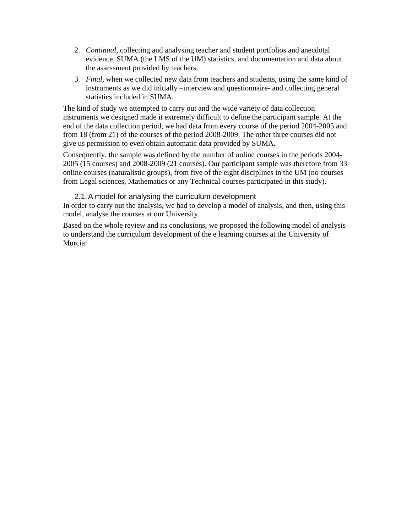- 2. *Continual,* collecting and analysing teacher and student portfolios and anecdotal evidence, SUMA (the LMS of the UM) statistics, and documentation and data about the assessment provided by teachers.
- 3. *Final,* when we collected new data from teachers and students, using the same kind of instruments as we did initially –interview and questionnaire- and collecting general statistics included in SUMA.

The kind of study we attempted to carry out and the wide variety of data collection instruments we designed made it extremely difficult to define the participant sample. At the end of the data collection period, we had data from every course of the period 2004-2005 and from 18 (from 21) of the courses of the period 2008-2009. The other three courses did not give us permission to even obtain automatic data provided by SUMA.

Consequently, the sample was defined by the number of online courses in the periods 2004- 2005 (15 courses) and 2008-2009 (21 courses). Our participant sample was therefore from 33 online courses (naturalistic groups), from five of the eight disciplines in the UM (no courses from Legal sciences, Mathematics or any Technical courses participated in this study).

#### 2.1. A model for analysing the curriculum development

In order to carry out the analysis, we had to develop a model of analysis, and then, using this model, analyse the courses at our University.

Based on the whole review and its conclusions, we proposed the following model of analysis to understand the curriculum development of the e learning courses at the University of Murcia: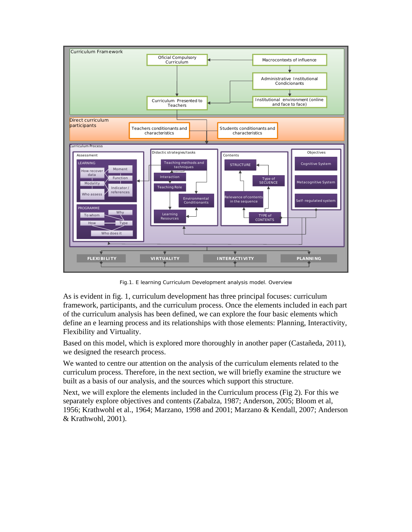

Fig.1. E learning Curriculum Development analysis model. Overview

As is evident in fig. 1, curriculum development has three principal focuses: curriculum framework, participants, and the curriculum process. Once the elements included in each part of the curriculum analysis has been defined, we can explore the four basic elements which define an e learning process and its relationships with those elements: Planning, Interactivity, Flexibility and Virtuality.

Based on this model, which is explored more thoroughly in another paper (Castañeda, 2011), we designed the research process.

We wanted to centre our attention on the analysis of the curriculum elements related to the curriculum process. Therefore, in the next section, we will briefly examine the structure we built as a basis of our analysis, and the sources which support this structure.

Next, we will explore the elements included in the Curriculum process (Fig 2). For this we separately explore objectives and contents (Zabalza, 1987; Anderson, 2005; Bloom et al, 1956; Krathwohl et al., 1964; Marzano, 1998 and 2001; Marzano & Kendall, 2007; Anderson & Krathwohl, 2001).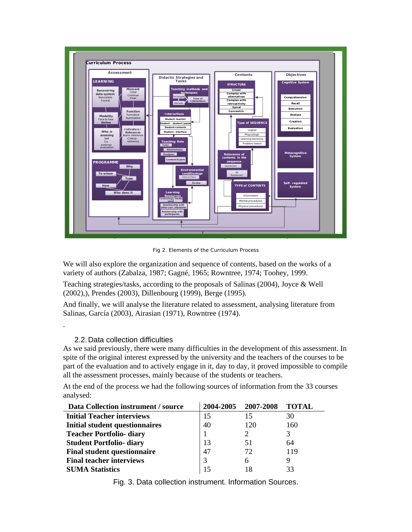

Fig 2. Elements of the Curriculum Process

We will also explore the organization and sequence of contents, based on the works of a variety of authors (Zabalza, 1987; Gagné, 1965; Rowntree, 1974; Toohey, 1999.

Teaching strategies/tasks, according to the proposals of Salinas (2004), Joyce & Well (2002),), Prendes (2003), Dillenbourg (1999), Berge (1995).

And finally, we will analyse the literature related to assessment, analysing literature from Salinas, García (2003), Airasian (1971), Rowntree (1974).

#### 2.2. Data collection difficulties

.

As we said previously, there were many difficulties in the development of this assessment. In spite of the original interest expressed by the university and the teachers of the courses to be part of the evaluation and to actively engage in it, day to day, it proved impossible to compile all the assessment processes, mainly because of the students or teachers.

At the end of the process we had the following sources of information from the 33 courses analysed:

| Data Collection instrument / source   | 2004-2005 | 2007-2008                   | <b>TOTAL</b> |
|---------------------------------------|-----------|-----------------------------|--------------|
| <b>Initial Teacher interviews</b>     | 15        | 15                          | 30           |
| <b>Initial student questionnaires</b> | 40        | 120                         | 160          |
| <b>Teacher Portfolio- diary</b>       |           | $\mathcal{D}_{\mathcal{L}}$ | 3            |
| <b>Student Portfolio- diary</b>       | 13        | 51                          | 64           |
| <b>Final student questionnaire</b>    | 47        | 72                          | 119          |
| <b>Final teacher interviews</b>       |           | 6                           | 9            |
| <b>SUMA Statistics</b>                |           |                             | 33           |

Fig. 3. Data collection instrument. Information Sources.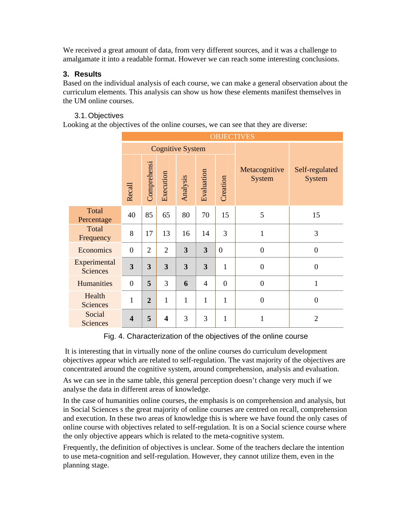We received a great amount of data, from very different sources, and it was a challenge to amalgamate it into a readable format. However we can reach some interesting conclusions.

## **3. Results**

Based on the individual analysis of each course, we can make a general observation about the curriculum elements. This analysis can show us how these elements manifest themselves in the UM online courses.

## 3.1. Objectives

Looking at the objectives of the online courses, we can see that they are diverse:

|                                 | <b>OBJECTIVES</b>       |                         |                |                         |                         |                |                                |                          |  |  |  |  |
|---------------------------------|-------------------------|-------------------------|----------------|-------------------------|-------------------------|----------------|--------------------------------|--------------------------|--|--|--|--|
|                                 |                         |                         |                | <b>Cognitive System</b> |                         |                |                                |                          |  |  |  |  |
|                                 | Recall                  | Comprehensi             | Execution      | Analysis                | Evaluation              | Creation       | Metacognitive<br><b>System</b> | Self-regulated<br>System |  |  |  |  |
| Total<br>Percentage             | 40                      | 85                      | 65             | 80                      | 70                      | 15             | 5                              | 15                       |  |  |  |  |
| Total<br>Frequency              | 8                       | 17                      | 13             | 16                      | 14                      | 3              | $\mathbf{1}$                   | 3                        |  |  |  |  |
| Economics                       | $\overline{0}$          | $\overline{2}$          | $\overline{2}$ | 3                       | $\overline{\mathbf{3}}$ | $\overline{0}$ | $\overline{0}$                 | $\overline{0}$           |  |  |  |  |
| Experimental<br><b>Sciences</b> | $\overline{\mathbf{3}}$ | $\overline{\mathbf{3}}$ | 3              | 3                       | 3                       | $\mathbf{1}$   | $\overline{0}$                 | $\overline{0}$           |  |  |  |  |
| <b>Humanities</b>               | $\boldsymbol{0}$        | 5                       | 3              | 6                       | $\overline{4}$          | $\mathbf{0}$   | $\mathbf{0}$                   | $\mathbf{1}$             |  |  |  |  |
| Health<br><b>Sciences</b>       | $\mathbf 1$             | $\overline{2}$          | $\mathbf{1}$   | $\mathbf{1}$            | $\mathbf{1}$            | $\mathbf 1$    | $\overline{0}$                 | $\overline{0}$           |  |  |  |  |
| Social<br><b>Sciences</b>       | $\overline{\mathbf{4}}$ | 5                       | 4              | 3                       | 3                       | $\mathbf 1$    | 1                              | $\overline{2}$           |  |  |  |  |

### Fig. 4. Characterization of the objectives of the online course

 It is interesting that in virtually none of the online courses do curriculum development objectives appear which are related to self-regulation. The vast majority of the objectives are concentrated around the cognitive system, around comprehension, analysis and evaluation.

As we can see in the same table, this general perception doesn't change very much if we analyse the data in different areas of knowledge.

In the case of humanities online courses, the emphasis is on comprehension and analysis, but in Social Sciences s the great majority of online courses are centred on recall, comprehension and execution. In these two areas of knowledge this is where we have found the only cases of online course with objectives related to self-regulation. It is on a Social science course where the only objective appears which is related to the meta-cognitive system.

Frequently, the definition of objectives is unclear. Some of the teachers declare the intention to use meta-cognition and self-regulation. However, they cannot utilize them, even in the planning stage.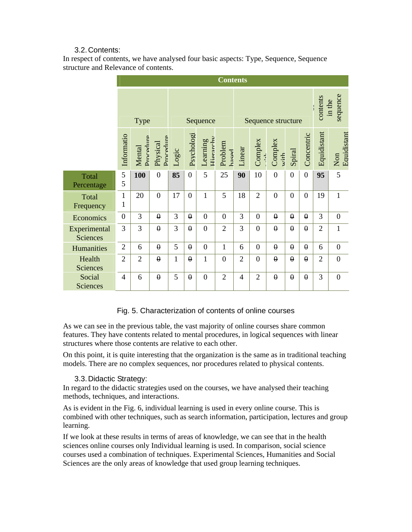## 3.2. Contents:

In respect of contents, we have analysed four basic aspects: Type, Sequence, Sequence structure and Relevance of contents.

|                                 | <b>Contents</b>   |                     |                       |              |                |                             |                  |                    |                |                 |                |                                |                |                                        |
|---------------------------------|-------------------|---------------------|-----------------------|--------------|----------------|-----------------------------|------------------|--------------------|----------------|-----------------|----------------|--------------------------------|----------------|----------------------------------------|
|                                 | <b>Type</b>       |                     |                       | Sequence     |                |                             |                  | Sequence structure |                |                 |                | sequence<br>contents<br>in the |                |                                        |
|                                 | Informatio        | Procedure<br>Mental | Procedure<br>Physical | Logic        | Psychologi     | $H$ ierarch $v$<br>Learning | Problem<br>hased | Linear             | Complex        | Complex<br>with | Spiral         | Concentric                     | Equidistant    | Equidistant<br>$\mathop{\mathrm{Non}}$ |
| Total<br>Percentage             | 5<br>5            | 100                 | $\overline{0}$        | 85           | $\overline{0}$ | 5                           | 25               | 90                 | 10             | $\overline{0}$  | $\overline{0}$ | $\mathbf{0}$                   | 95             | 5                                      |
| Total<br>Frequency              | $\mathbf{1}$<br>1 | 20                  | $\boldsymbol{0}$      | 17           | $\overline{0}$ | $\mathbf{1}$                | 5                | 18                 | $\overline{2}$ | $\overline{0}$  | $\overline{0}$ | $\overline{0}$                 | 19             | $\mathbf{1}$                           |
| Economics                       | $\overline{0}$    | 3                   | $\theta$              | 3            | $\theta$       | $\overline{0}$              | $\overline{0}$   | 3                  | $\overline{0}$ | $\theta$        | $\theta$       | $\theta$                       | 3              | $\boldsymbol{0}$                       |
| Experimental<br><b>Sciences</b> | 3                 | 3                   | $\theta$              | 3            | $\theta$       | $\overline{0}$              | $\overline{2}$   | 3                  | $\overline{0}$ | $\theta$        | $\theta$       | $\theta$                       | $\overline{2}$ | $\mathbf{1}$                           |
| Humanities                      | $\overline{2}$    | 6                   | $\theta$              | 5            | $\theta$       | $\overline{0}$              | $\mathbf{1}$     | 6                  | $\overline{0}$ | $\theta$        | $\theta$       | $\theta$                       | 6              | $\boldsymbol{0}$                       |
| Health<br>Sciences              | $\overline{2}$    | $\overline{2}$      | $\theta$              | $\mathbf{1}$ | $\theta$       | $\mathbf{1}$                | $\overline{0}$   | $\overline{2}$     | $\overline{0}$ | $\theta$        | $\theta$       | $\theta$                       | $\overline{2}$ | $\overline{0}$                         |
| Social<br>Sciences              | $\overline{4}$    | 6                   | $\theta$              | 5            | $\theta$       | $\overline{0}$              | $\overline{2}$   | $\overline{4}$     | $\overline{2}$ | $\theta$        | $\theta$       | $\theta$                       | 3              | $\overline{0}$                         |

### Fig. 5. Characterization of contents of online courses

As we can see in the previous table, the vast majority of online courses share common features. They have contents related to mental procedures, in logical sequences with linear structures where those contents are relative to each other.

On this point, it is quite interesting that the organization is the same as in traditional teaching models. There are no complex sequences, nor procedures related to physical contents.

### 3.3. Didactic Strategy:

In regard to the didactic strategies used on the courses, we have analysed their teaching methods, techniques, and interactions.

As is evident in the Fig. 6, individual learning is used in every online course. This is combined with other techniques, such as search information, participation, lectures and group learning.

If we look at these results in terms of areas of knowledge, we can see that in the health sciences online courses only Individual learning is used. In comparison, social science courses used a combination of techniques. Experimental Sciences, Humanities and Social Sciences are the only areas of knowledge that used group learning techniques.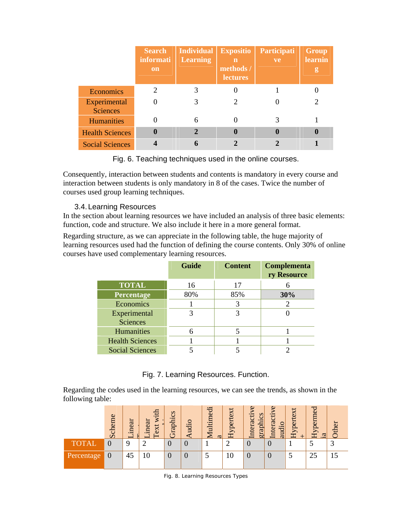|                                 | <b>Search</b><br>informati<br>on | <b>Individual</b><br><b>Learning</b> | <b>Expositio</b><br>n<br>methods /<br><b>lectures</b> | Participati<br>ve | <b>Group</b><br>learnin<br>g |
|---------------------------------|----------------------------------|--------------------------------------|-------------------------------------------------------|-------------------|------------------------------|
| Economics                       | 2                                | 3                                    |                                                       |                   |                              |
| Experimental<br><b>Sciences</b> | 0                                | 3                                    |                                                       |                   | 2                            |
| <b>Humanities</b>               | 0                                | 6                                    | 0                                                     | 3                 |                              |
| <b>Health Sciences</b>          | $\bf{0}$                         | $\overline{2}$                       | 0                                                     | $\bf{0}$          | $\bf{0}$                     |
| <b>Social Sciences</b>          |                                  | 6                                    | 2                                                     | າ                 |                              |

Fig. 6. Teaching techniques used in the online courses.

Consequently, interaction between students and contents is mandatory in every course and interaction between students is only mandatory in 8 of the cases. Twice the number of courses used group learning techniques.

## 3.4. Learning Resources

In the section about learning resources we have included an analysis of three basic elements: function, code and structure. We also include it here in a more general format.

Regarding structure, as we can appreciate in the following table, the huge majority of learning resources used had the function of defining the course contents. Only 30% of online courses have used complementary learning resources.

|                        | <b>Guide</b> | <b>Content</b> | Complementa<br>ry Resource |
|------------------------|--------------|----------------|----------------------------|
| <b>TOTAL</b>           | 16           | 17             |                            |
| Percentage             | 80%          | 85%            | 30%                        |
| Economics              |              |                |                            |
| Experimental           |              | 3              |                            |
| <b>Sciences</b>        |              |                |                            |
| <b>Humanities</b>      | 6            |                |                            |
| <b>Health Sciences</b> |              |                |                            |
| <b>Social Sciences</b> |              |                |                            |

## Fig. 7. Learning Resources. Function.

Regarding the codes used in the learning resources, we can see the trends, as shown in the following table:

|             | cheme<br>$\mathcal{D}$ | ä<br>ine | 옵<br>$\overline{\mathbf{v}}$<br>inear<br>ext | $\infty$<br>Graphics | udi | lultimedi<br>$\omega$ | ypertex<br>Ξ | $\Omega$<br>graphics<br>ه:<br>ē,<br>$\overline{\omega}$<br>$\ddot{H}$ | $\omega$<br>nteracti<br>audio | $\bf{M}$<br>${\rm Hyperte}$ | ヮ<br>berne<br>Ł<br>ದ |            |
|-------------|------------------------|----------|----------------------------------------------|----------------------|-----|-----------------------|--------------|-----------------------------------------------------------------------|-------------------------------|-----------------------------|----------------------|------------|
| <b>OTAL</b> | 0                      |          |                                              |                      | U   |                       |              |                                                                       | 0                             |                             |                      | $\sqrt{2}$ |
| Percentage  | U                      | 43       | ΙU                                           |                      | U   |                       | 1∪           | U                                                                     | 0                             |                             | 25                   | IJ         |

Fig. 8. Learning Resources Types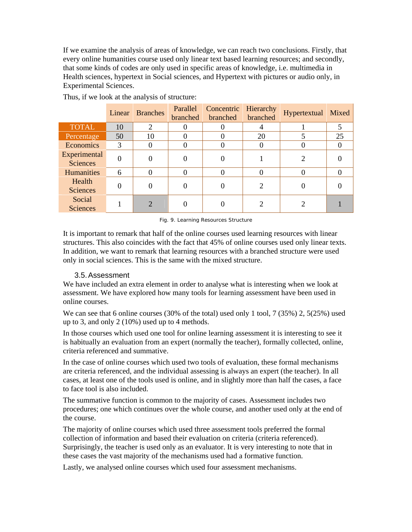If we examine the analysis of areas of knowledge, we can reach two conclusions. Firstly, that every online humanities course used only linear text based learning resources; and secondly, that some kinds of codes are only used in specific areas of knowledge, i.e. multimedia in Health sciences, hypertext in Social sciences, and Hypertext with pictures or audio only, in Experimental Sciences.

|                                 |    | Linear Branches | Parallel<br>branched | Concentric<br>branched | Hierarchy<br>branched | Hypertextual | Mixed |
|---------------------------------|----|-----------------|----------------------|------------------------|-----------------------|--------------|-------|
| <b>TOTAL</b>                    | 10 | 2               |                      |                        |                       |              |       |
| Percentage                      | 50 | 10              |                      |                        | 20                    |              | 25    |
| Economics                       | 3  |                 |                      |                        |                       |              |       |
| Experimental<br><b>Sciences</b> |    |                 |                      |                        |                       |              |       |
| Humanities                      | 6  |                 |                      |                        |                       |              |       |
| Health<br><b>Sciences</b>       |    |                 |                      |                        |                       |              |       |
| Social<br><b>Sciences</b>       |    | ↑               |                      |                        |                       |              |       |

Thus, if we look at the analysis of structure:

Fig. 9. Learning Resources Structure

It is important to remark that half of the online courses used learning resources with linear structures. This also coincides with the fact that 45% of online courses used only linear texts. In addition, we want to remark that learning resources with a branched structure were used only in social sciences. This is the same with the mixed structure.

### 3.5. Assessment

We have included an extra element in order to analyse what is interesting when we look at assessment. We have explored how many tools for learning assessment have been used in online courses.

We can see that 6 online courses (30% of the total) used only 1 tool, 7 (35%) 2, 5(25%) used up to 3, and only 2 (10%) used up to 4 methods.

In those courses which used one tool for online learning assessment it is interesting to see it is habitually an evaluation from an expert (normally the teacher), formally collected, online, criteria referenced and summative.

In the case of online courses which used two tools of evaluation, these formal mechanisms are criteria referenced, and the individual assessing is always an expert (the teacher). In all cases, at least one of the tools used is online, and in slightly more than half the cases, a face to face tool is also included.

The summative function is common to the majority of cases. Assessment includes two procedures; one which continues over the whole course, and another used only at the end of the course.

The majority of online courses which used three assessment tools preferred the formal collection of information and based their evaluation on criteria (criteria referenced). Surprisingly, the teacher is used only as an evaluator. It is very interesting to note that in these cases the vast majority of the mechanisms used had a formative function.

Lastly, we analysed online courses which used four assessment mechanisms.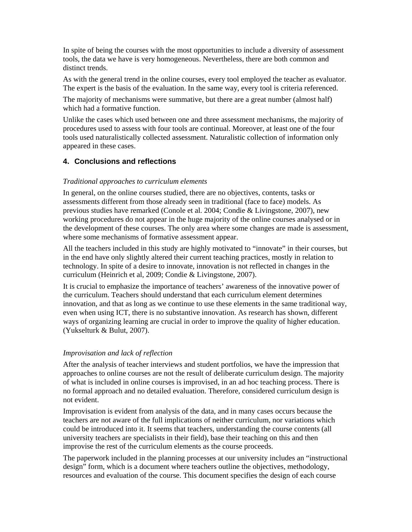In spite of being the courses with the most opportunities to include a diversity of assessment tools, the data we have is very homogeneous. Nevertheless, there are both common and distinct trends.

As with the general trend in the online courses, every tool employed the teacher as evaluator. The expert is the basis of the evaluation. In the same way, every tool is criteria referenced.

The majority of mechanisms were summative, but there are a great number (almost half) which had a formative function.

Unlike the cases which used between one and three assessment mechanisms, the majority of procedures used to assess with four tools are continual. Moreover, at least one of the four tools used naturalistically collected assessment. Naturalistic collection of information only appeared in these cases.

### **4. Conclusions and reflections**

#### *Traditional approaches to curriculum elements*

In general, on the online courses studied, there are no objectives, contents, tasks or assessments different from those already seen in traditional (face to face) models. As previous studies have remarked (Conole et al. 2004; Condie & Livingstone, 2007), new working procedures do not appear in the huge majority of the online courses analysed or in the development of these courses. The only area where some changes are made is assessment, where some mechanisms of formative assessment appear.

All the teachers included in this study are highly motivated to "innovate" in their courses, but in the end have only slightly altered their current teaching practices, mostly in relation to technology. In spite of a desire to innovate, innovation is not reflected in changes in the curriculum (Heinrich et al, 2009; Condie & Livingstone, 2007).

It is crucial to emphasize the importance of teachers' awareness of the innovative power of the curriculum. Teachers should understand that each curriculum element determines innovation, and that as long as we continue to use these elements in the same traditional way, even when using ICT, there is no substantive innovation. As research has shown, different ways of organizing learning are crucial in order to improve the quality of higher education. (Yukselturk & Bulut, 2007).

#### *Improvisation and lack of reflection*

After the analysis of teacher interviews and student portfolios, we have the impression that approaches to online courses are not the result of deliberate curriculum design. The majority of what is included in online courses is improvised, in an ad hoc teaching process. There is no formal approach and no detailed evaluation. Therefore, considered curriculum design is not evident.

Improvisation is evident from analysis of the data, and in many cases occurs because the teachers are not aware of the full implications of neither curriculum, nor variations which could be introduced into it. It seems that teachers, understanding the course contents (all university teachers are specialists in their field), base their teaching on this and then improvise the rest of the curriculum elements as the course proceeds.

The paperwork included in the planning processes at our university includes an "instructional design" form, which is a document where teachers outline the objectives, methodology, resources and evaluation of the course. This document specifies the design of each course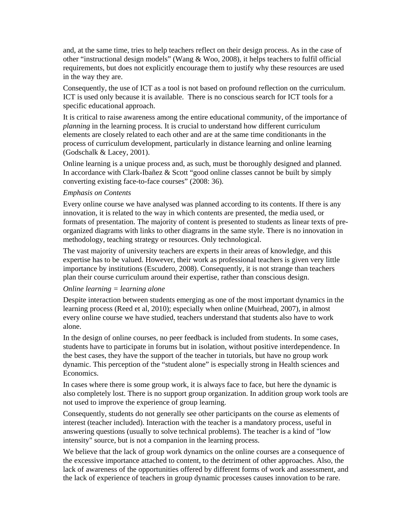and, at the same time, tries to help teachers reflect on their design process. As in the case of other "instructional design models" (Wang & Woo, 2008), it helps teachers to fulfil official requirements, but does not explicitly encourage them to justify why these resources are used in the way they are.

Consequently, the use of ICT as a tool is not based on profound reflection on the curriculum. ICT is used only because it is available. There is no conscious search for ICT tools for a specific educational approach.

It is critical to raise awareness among the entire educational community, of the importance of *planning* in the learning process. It is crucial to understand how different curriculum elements are closely related to each other and are at the same time conditionants in the process of curriculum development, particularly in distance learning and online learning (Godschalk & Lacey, 2001).

Online learning is a unique process and, as such, must be thoroughly designed and planned. In accordance with Clark-Ibañez & Scott "good online classes cannot be built by simply converting existing face-to-face courses" (2008: 36).

#### *Emphasis on Contents*

Every online course we have analysed was planned according to its contents. If there is any innovation, it is related to the way in which contents are presented, the media used, or formats of presentation. The majority of content is presented to students as linear texts of preorganized diagrams with links to other diagrams in the same style. There is no innovation in methodology, teaching strategy or resources. Only technological.

The vast majority of university teachers are experts in their areas of knowledge, and this expertise has to be valued. However, their work as professional teachers is given very little importance by institutions (Escudero, 2008). Consequently, it is not strange than teachers plan their course curriculum around their expertise, rather than conscious design.

#### *Online learning = learning alone*

Despite interaction between students emerging as one of the most important dynamics in the learning process (Reed et al, 2010); especially when online (Muirhead, 2007), in almost every online course we have studied, teachers understand that students also have to work alone.

In the design of online courses, no peer feedback is included from students. In some cases, students have to participate in forums but in isolation, without positive interdependence. In the best cases, they have the support of the teacher in tutorials, but have no group work dynamic. This perception of the "student alone" is especially strong in Health sciences and Economics.

In cases where there is some group work, it is always face to face, but here the dynamic is also completely lost. There is no support group organization. In addition group work tools are not used to improve the experience of group learning.

Consequently, students do not generally see other participants on the course as elements of interest (teacher included). Interaction with the teacher is a mandatory process, useful in answering questions (usually to solve technical problems). The teacher is a kind of "low intensity" source, but is not a companion in the learning process.

We believe that the lack of group work dynamics on the online courses are a consequence of the excessive importance attached to content, to the detriment of other approaches. Also, the lack of awareness of the opportunities offered by different forms of work and assessment, and the lack of experience of teachers in group dynamic processes causes innovation to be rare.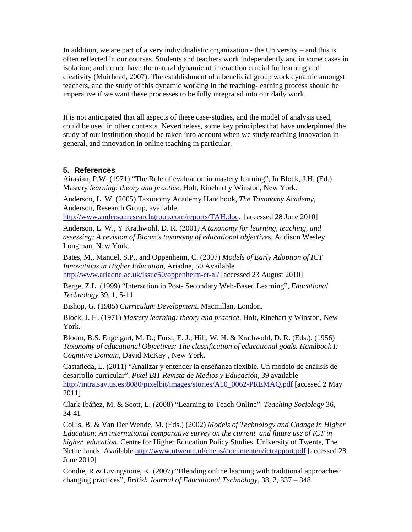In addition, we are part of a very individualistic organization - the University – and this is often reflected in our courses. Students and teachers work independently and in some cases in isolation; and do not have the natural dynamic of interaction crucial for learning and creativity (Muirhead, 2007). The establishment of a beneficial group work dynamic amongst teachers, and the study of this dynamic working in the teaching-learning process should be imperative if we want these processes to be fully integrated into our daily work.

It is not anticipated that all aspects of these case-studies, and the model of analysis used, could be used in other contexts. Nevertheless, some key principles that have underpinned the study of our institution should be taken into account when we study teaching innovation in general, and innovation in online teaching in particular.

#### **5. References**

Airasian, P.W. (1971) "The Role of evaluation in mastery learning", In Block, J.H. (Ed.) Mastery *learning: theory and practice,* Holt, Rinehart y Winston, New York.

Anderson, L. W. (2005) Taxonomy Academy Handbook, *The Taxonomy Academy,* Anderson, Research Group, available:

http://www.andersonresearchgroup.com/reports/TAH.doc. [accessed 28 June 2010]

Anderson, L. W., Y Krathwohl, D. R. (2001*) A taxonomy for learning, teaching, and assessing: A revision of Bloom's taxonomy of educational objective*s, Addison Wesley Longman, New York.

Bates, M., Manuel, S.P., and Oppenheim, C. (2007) *Models of Early Adoption of ICT Innovations in Higher Education*, Ariadne, 50 Available http://www.ariadne.ac.uk/issue50/oppenheim-et-al/ [accessed 23 August 2010]

Berge, Z.L. (1999) "Interaction in Post- Secondary Web-Based Learning", *Educational Technology* 39, 1, 5-11

Bishop, G. (1985) *Curriculum Development*. Macmillan, London.

Block, J. H. (1971) *Mastery learning: theory and practice,* Holt, Rinehart y Winston, New York.

Bloom, B.S. Engelgart, M. D.; Furst, E. J.; Hill, W. H. & Krathwohl, D. R. (Eds.). (1956) *Taxonomy of educational Objectives: The classification of educational goals. Handbook I: Cognitive Domain*, David McKay , New York.

Castañeda, L. (2011) "Analizar y entender la enseñanza flexible. Un modelo de análisis de desarrollo curricular". *Pixel BIT Revista de Medios y Educación,* 39 available http://intra.sav.us.es:8080/pixelbit/images/stories/A10\_0062-PREMAQ.pdf [accesed 2 May 2011]

Clark-Ibáñez, M. & Scott, L. (2008) "Learning to Teach Online". *Teaching Sociology* 36, 34-41

Collis, B. & Van Der Wende, M. (Eds.) (2002) *Models of Technology and Change in Higher Education: An international comparative survey on the current and future use of ICT in higher education*. Centre for Higher Education Policy Studies, University of Twente, The Netherlands. Available http://www.utwente.nl/cheps/documenten/ictrapport.pdf [accessed 28 June 2010]

Condie, R & Livingstone, K. (2007) "Blending online learning with traditional approaches: changing practices", *British Journal of Educational Technology,* 38, 2, 337 – 348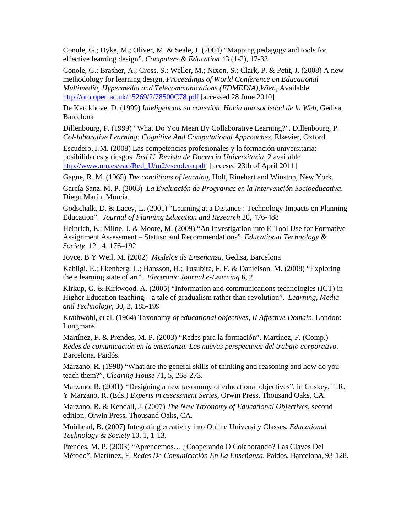Conole, G.; Dyke, M.; Oliver, M. & Seale, J. (2004) "Mapping pedagogy and tools for effective learning design". *Computers & Education* 43 (1-2), 17-33

Conole, G.; Brasher, A.; Cross, S.; Weller, M.; Nixon, S.; Clark, P. & Petit, J. (2008) A new methodology for learning design, *Proceedings of World Conference on Educational Multimedia, Hypermedia and Telecommunications (EDMEDIA),Wien,* Available http://oro.open.ac.uk/15269/2/78500C78.pdf [accessed 28 June 2010]

De Kerckhove, D. (1999) *Inteligencias en conexión. Hacia una sociedad de la Web,* Gedisa, Barcelona

Dillenbourg, P. (1999) "What Do You Mean By Collaborative Learning?". Dillenbourg, P. *Col-laborative Learning: Cognitive And Computational Approaches,* Elsevier, Oxford

Escudero, J.M. (2008) Las competencias profesionales y la formación universitaria: posibilidades y riesgos. *Red U. Revista de Docencia Universitaria*, 2 available http://www.um.es/ead/Red\_U/m2/escudero.pdf [accesed 23th of April 2011]

Gagne, R. M. (1965) *The conditions of learning,* Holt, Rinehart and Winston, New York.

García Sanz, M. P. (2003) *La Evaluación de Programas en la Intervención Socioeducativa,* Diego Marín, Murcia.

Godschalk, D. & Lacey, L. (2001) "Learning at a Distance : Technology Impacts on Planning Education". *Journal of Planning Education and Research* 20, 476-488

Heinrich, E.; Milne, J. & Moore, M. (2009) "An Investigation into E-Tool Use for Formative Assignment Assessment – Statusn and Recommendations". *Educational Technology & Society*, 12 , 4, 176–192

Joyce, B Y Weil, M. (2002) *Modelos de Enseñanza*, Gedisa, Barcelona

Kahiigi, E.; Ekenberg, L.; Hansson, H.; Tusubira, F. F. & Danielson, M. (2008) "Exploring the e learning state of art". *Electronic Journal e-Learning* 6, 2.

Kirkup, G. & Kirkwood, A. (2005) "Information and communications technologies (ICT) in Higher Education teaching – a tale of gradualism rather than revolution". *Learning, Media and Technology*, 30, 2, 185-199

Krathwohl, et al. (1964) Taxonomy *of educational objectives, II Affective Domain*. London: Longmans.

Martínez, F. & Prendes, M. P. (2003) "Redes para la formación". Martínez, F. (Comp.) *Redes de comunicación en la enseñanza. Las nuevas perspectivas del trabajo corporativo*. Barcelona. Paidós.

Marzano, R. (1998) "What are the general skills of thinking and reasoning and how do you teach them?", *Clearing House* 71, 5, 268-273.

Marzano, R. (2001) *"*Designing a new taxonomy of educational objectives"*,* in Guskey, T.R. Y Marzano, R. (Eds.) *Experts in assessment Series,* Orwin Press, Thousand Oaks, CA.

Marzano, R. & Kendall, J. (2007) *The New Taxonomy of Educational Objectives,* second edition, Orwin Press, Thousand Oaks, CA.

Muirhead, B. (2007) Integrating creativity into Online University Classes. *Educational Technology & Society* 10, 1, 1-13.

Prendes, M. P. (2003) "Aprendemos… ¿Cooperando O Colaborando? Las Claves Del Método". Martínez, F. *Redes De Comunicación En La Enseñanza,* Paidós, Barcelona, 93-128.